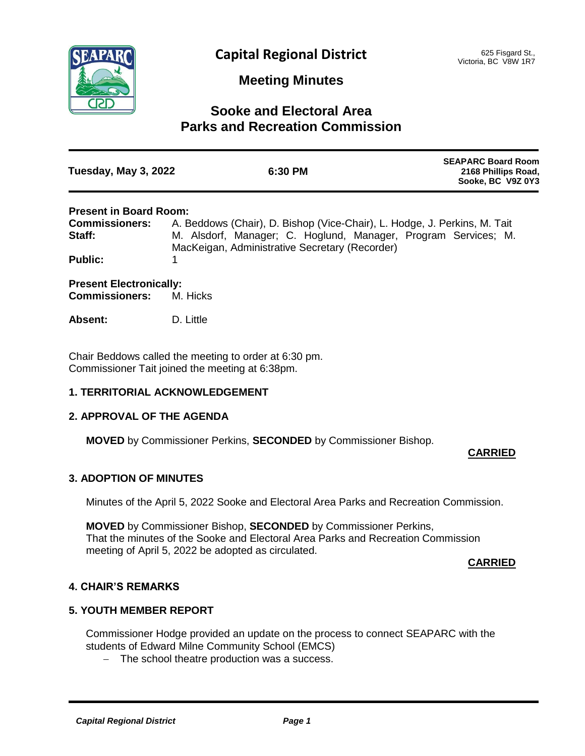

# **Meeting Minutes**

# **Sooke and Electoral Area Parks and Recreation Commission**

| Tuesday, May 3, 2022 | 6:30 PM | <b>SEAPARC Board Room</b><br>2168 Phillips Road,<br>Sooke, BC V9Z 0Y3 |
|----------------------|---------|-----------------------------------------------------------------------|
|                      |         |                                                                       |

## **Present in Board Room:**

| <b>Commissioners:</b>                                   | A. Beddows (Chair), D. Bishop (Vice-Chair), L. Hodge, J. Perkins, M. Tait |  |
|---------------------------------------------------------|---------------------------------------------------------------------------|--|
| Staff:                                                  | M. Alsdorf, Manager; C. Hoglund, Manager, Program Services; M.            |  |
|                                                         | MacKeigan, Administrative Secretary (Recorder)                            |  |
| <b>Public:</b>                                          |                                                                           |  |
| <b>Present Electronically:</b><br><b>Commissioners:</b> | M. Hicks                                                                  |  |
| <b>Absent:</b>                                          | D. Little                                                                 |  |
|                                                         |                                                                           |  |

Chair Beddows called the meeting to order at 6:30 pm. Commissioner Tait joined the meeting at 6:38pm.

## **1. TERRITORIAL ACKNOWLEDGEMENT**

## **2. APPROVAL OF THE AGENDA**

**MOVED** by Commissioner Perkins, **SECONDED** by Commissioner Bishop.

## **CARRIED**

## **3. ADOPTION OF MINUTES**

Minutes of the April 5, 2022 Sooke and Electoral Area Parks and Recreation Commission.

**MOVED** by Commissioner Bishop, **SECONDED** by Commissioner Perkins, That the minutes of the Sooke and Electoral Area Parks and Recreation Commission meeting of April 5, 2022 be adopted as circulated.

#### **CARRIED**

## **4. CHAIR'S REMARKS**

## **5. YOUTH MEMBER REPORT**

Commissioner Hodge provided an update on the process to connect SEAPARC with the students of Edward Milne Community School (EMCS)

- The school theatre production was a success.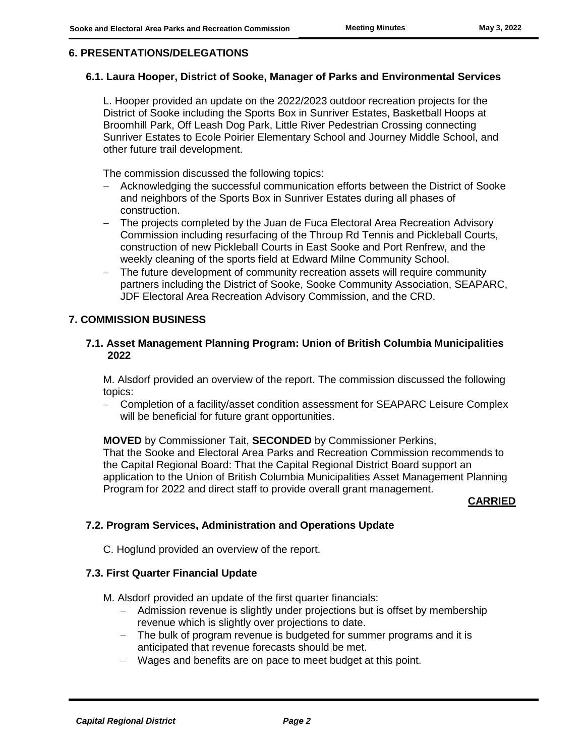## **6. PRESENTATIONS/DELEGATIONS**

#### **6.1. Laura Hooper, District of Sooke, Manager of Parks and Environmental Services**

L. Hooper provided an update on the 2022/2023 outdoor recreation projects for the District of Sooke including the Sports Box in Sunriver Estates, Basketball Hoops at Broomhill Park, Off Leash Dog Park, Little River Pedestrian Crossing connecting Sunriver Estates to Ecole Poirier Elementary School and Journey Middle School, and other future trail development.

The commission discussed the following topics:

- Acknowledging the successful communication efforts between the District of Sooke and neighbors of the Sports Box in Sunriver Estates during all phases of construction.
- The projects completed by the Juan de Fuca Electoral Area Recreation Advisory Commission including resurfacing of the Throup Rd Tennis and Pickleball Courts, construction of new Pickleball Courts in East Sooke and Port Renfrew, and the weekly cleaning of the sports field at Edward Milne Community School.
- The future development of community recreation assets will require community partners including the District of Sooke, Sooke Community Association, SEAPARC, JDF Electoral Area Recreation Advisory Commission, and the CRD.

## **7. COMMISSION BUSINESS**

#### **7.1. Asset Management Planning Program: Union of British Columbia Municipalities 2022**

M. Alsdorf provided an overview of the report. The commission discussed the following topics:

- Completion of a facility/asset condition assessment for SEAPARC Leisure Complex will be beneficial for future grant opportunities.

**MOVED** by Commissioner Tait, **SECONDED** by Commissioner Perkins, That the Sooke and Electoral Area Parks and Recreation Commission recommends to the Capital Regional Board: That the Capital Regional District Board support an application to the Union of British Columbia Municipalities Asset Management Planning Program for 2022 and direct staff to provide overall grant management.

## **CARRIED**

# **7.2. Program Services, Administration and Operations Update**

C. Hoglund provided an overview of the report.

## **7.3. First Quarter Financial Update**

M. Alsdorf provided an update of the first quarter financials:

- Admission revenue is slightly under projections but is offset by membership revenue which is slightly over projections to date.
- The bulk of program revenue is budgeted for summer programs and it is anticipated that revenue forecasts should be met.
- Wages and benefits are on pace to meet budget at this point.